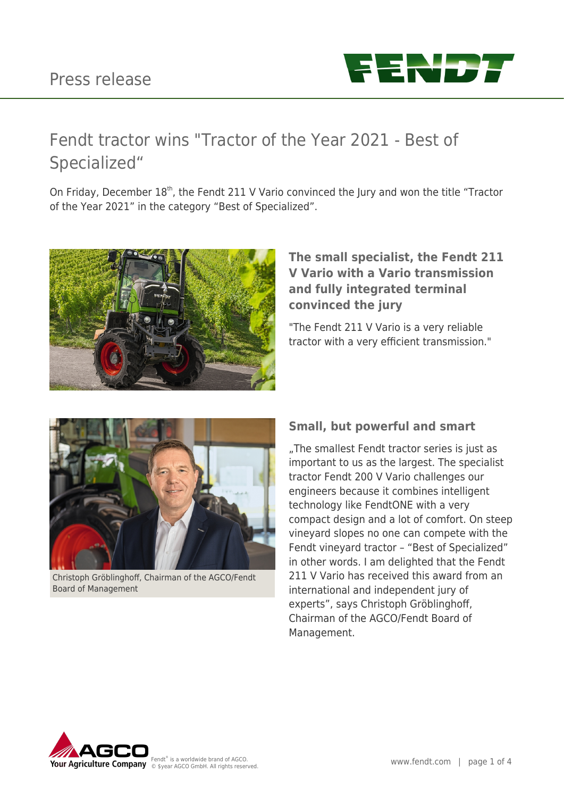## Press release



# Fendt tractor wins "Tractor of the Year 2021 - Best of Specialized"

On Friday, December 18<sup>th</sup>, the Fendt 211 V Vario convinced the Jury and won the title "Tractor of the Year 2021" in the category "Best of Specialized".



## **The small specialist, the Fendt 211 V Vario with a Vario transmission and fully integrated terminal convinced the jury**

"The Fendt 211 V Vario is a very reliable tractor with a very efficient transmission."



Christoph Gröblinghoff, Chairman of the AGCO/Fendt Board of Management

## **Small, but powerful and smart**

"The smallest Fendt tractor series is just as important to us as the largest. The specialist tractor Fendt 200 V Vario challenges our engineers because it combines intelligent technology like FendtONE with a very compact design and a lot of comfort. On steep vineyard slopes no one can compete with the Fendt vineyard tractor – "Best of Specialized" in other words. I am delighted that the Fendt 211 V Vario has received this award from an international and independent jury of experts", says Christoph Gröblinghoff, Chairman of the AGCO/Fendt Board of Management.

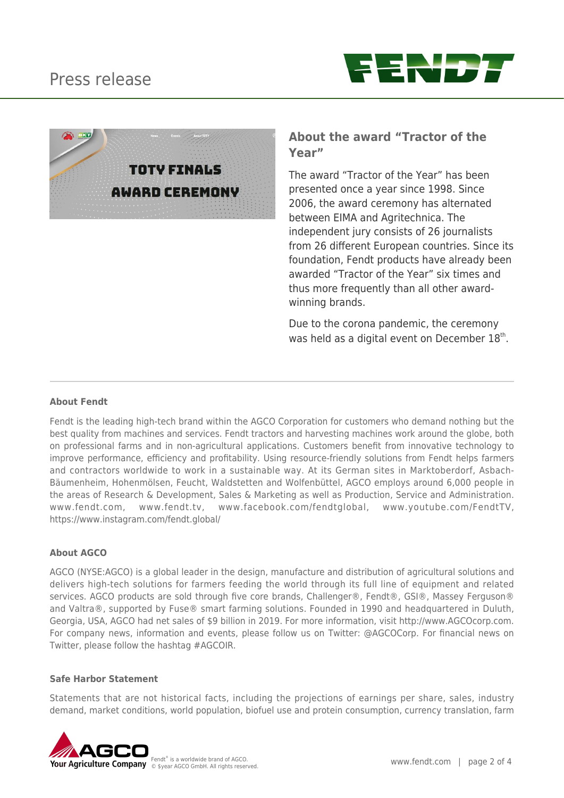



### **About the award "Tractor of the Year"**

The award "Tractor of the Year" has been presented once a year since 1998. Since 2006, the award ceremony has alternated between EIMA and Agritechnica. The independent jury consists of 26 journalists from 26 different European countries. Since its foundation, Fendt products have already been awarded "Tractor of the Year" six times and thus more frequently than all other awardwinning brands.

Due to the corona pandemic, the ceremony was held as a digital event on December 18<sup>th</sup>.

#### **About Fendt**

Fendt is the leading high-tech brand within the AGCO Corporation for customers who demand nothing but the best quality from machines and services. Fendt tractors and harvesting machines work around the globe, both on professional farms and in non-agricultural applications. Customers benefit from innovative technology to improve performance, efficiency and profitability. Using resource-friendly solutions from Fendt helps farmers and contractors worldwide to work in a sustainable way. At its German sites in Marktoberdorf, Asbach-Bäumenheim, Hohenmölsen, Feucht, Waldstetten and Wolfenbüttel, AGCO employs around 6,000 people in the areas of Research & Development, Sales & Marketing as well as Production, Service and Administration. www.fendt.com, www.fendt.tv, www.facebook.com/fendtglobal, www.youtube.com/FendtTV, https://www.instagram.com/fendt.global/

#### **About AGCO**

AGCO (NYSE:AGCO) is a global leader in the design, manufacture and distribution of agricultural solutions and delivers high-tech solutions for farmers feeding the world through its full line of equipment and related services. AGCO products are sold through five core brands, Challenger®, Fendt®, GSI®, Massey Ferguson® and Valtra®, supported by Fuse® smart farming solutions. Founded in 1990 and headquartered in Duluth, Georgia, USA, AGCO had net sales of \$9 billion in 2019. For more information, visit http://www.AGCOcorp.com. For company news, information and events, please follow us on Twitter: @AGCOCorp. For financial news on Twitter, please follow the hashtag #AGCOIR.

#### **Safe Harbor Statement**

Statements that are not historical facts, including the projections of earnings per share, sales, industry demand, market conditions, world population, biofuel use and protein consumption, currency translation, farm

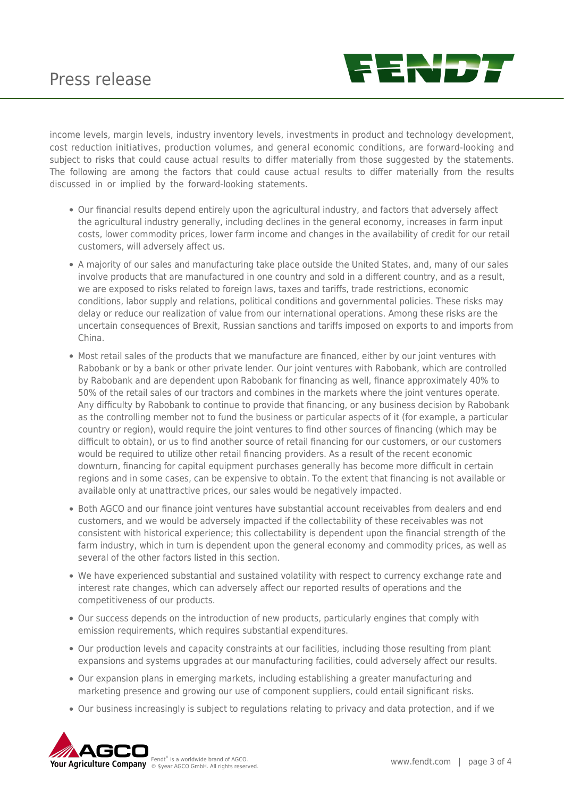

income levels, margin levels, industry inventory levels, investments in product and technology development, cost reduction initiatives, production volumes, and general economic conditions, are forward-looking and subject to risks that could cause actual results to differ materially from those suggested by the statements. The following are among the factors that could cause actual results to differ materially from the results discussed in or implied by the forward-looking statements.

- Our financial results depend entirely upon the agricultural industry, and factors that adversely affect the agricultural industry generally, including declines in the general economy, increases in farm input costs, lower commodity prices, lower farm income and changes in the availability of credit for our retail customers, will adversely affect us.
- A majority of our sales and manufacturing take place outside the United States, and, many of our sales involve products that are manufactured in one country and sold in a different country, and as a result, we are exposed to risks related to foreign laws, taxes and tariffs, trade restrictions, economic conditions, labor supply and relations, political conditions and governmental policies. These risks may delay or reduce our realization of value from our international operations. Among these risks are the uncertain consequences of Brexit, Russian sanctions and tariffs imposed on exports to and imports from China.
- Most retail sales of the products that we manufacture are financed, either by our joint ventures with Rabobank or by a bank or other private lender. Our joint ventures with Rabobank, which are controlled by Rabobank and are dependent upon Rabobank for financing as well, finance approximately 40% to 50% of the retail sales of our tractors and combines in the markets where the joint ventures operate. Any difficulty by Rabobank to continue to provide that financing, or any business decision by Rabobank as the controlling member not to fund the business or particular aspects of it (for example, a particular country or region), would require the joint ventures to find other sources of financing (which may be difficult to obtain), or us to find another source of retail financing for our customers, or our customers would be required to utilize other retail financing providers. As a result of the recent economic downturn, financing for capital equipment purchases generally has become more difficult in certain regions and in some cases, can be expensive to obtain. To the extent that financing is not available or available only at unattractive prices, our sales would be negatively impacted.
- Both AGCO and our finance joint ventures have substantial account receivables from dealers and end customers, and we would be adversely impacted if the collectability of these receivables was not consistent with historical experience; this collectability is dependent upon the financial strength of the farm industry, which in turn is dependent upon the general economy and commodity prices, as well as several of the other factors listed in this section.
- We have experienced substantial and sustained volatility with respect to currency exchange rate and interest rate changes, which can adversely affect our reported results of operations and the competitiveness of our products.
- Our success depends on the introduction of new products, particularly engines that comply with emission requirements, which requires substantial expenditures.
- Our production levels and capacity constraints at our facilities, including those resulting from plant expansions and systems upgrades at our manufacturing facilities, could adversely affect our results.
- Our expansion plans in emerging markets, including establishing a greater manufacturing and marketing presence and growing our use of component suppliers, could entail significant risks.
- Our business increasingly is subject to regulations relating to privacy and data protection, and if we